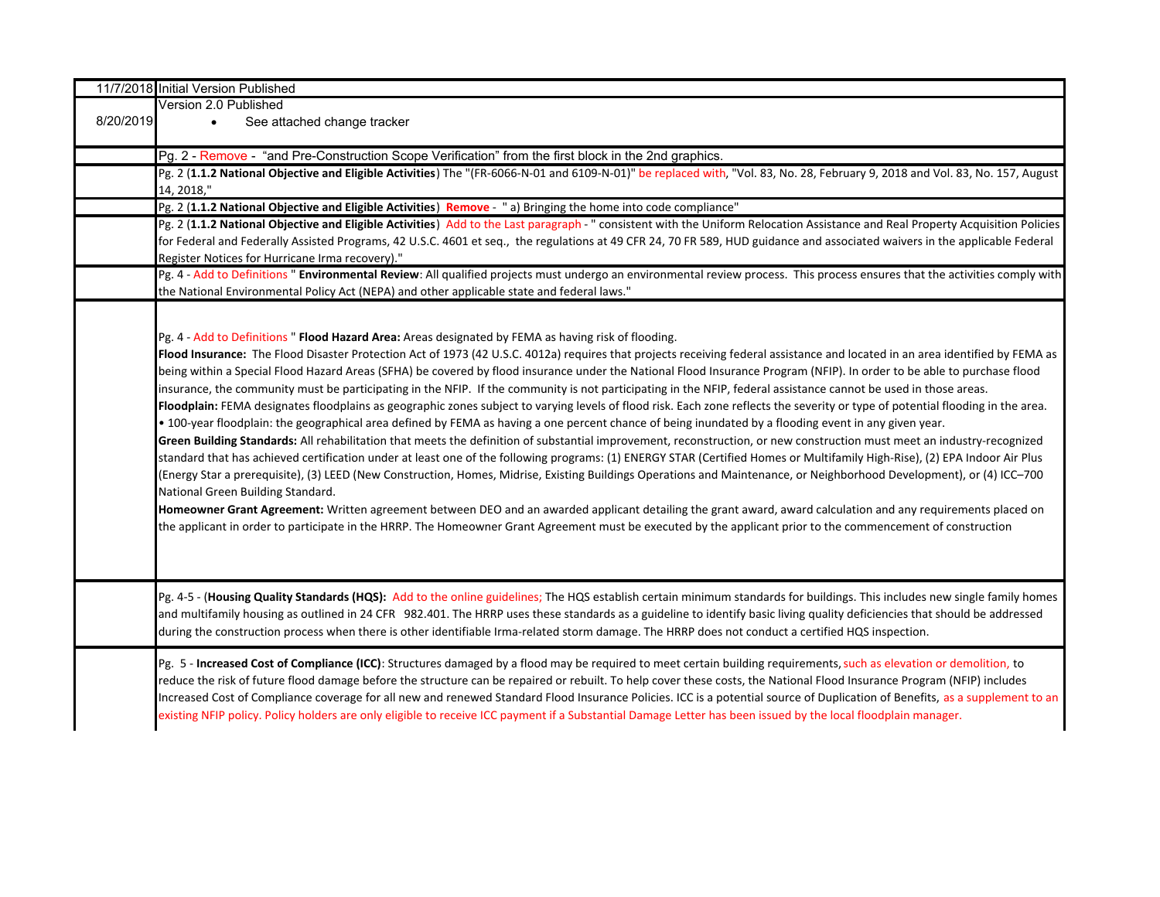| Version 2.0 Published<br>8/20/2019<br>See attached change tracker<br>$\bullet$<br>Pg. 2 - Remove - "and Pre-Construction Scope Verification" from the first block in the 2nd graphics.<br>Pg. 2 (1.1.2 National Objective and Eligible Activities) The "(FR-6066-N-01 and 6109-N-01)" be replaced with, "Vol. 83, No. 28, February 9, 2018 and Vol. 83, No. 157, August<br>14, 2018,"<br>Pg. 2 (1.1.2 National Objective and Eligible Activities) Remove - "a) Bringing the home into code compliance"<br>Pg. 2 (1.1.2 National Objective and Eligible Activities) Add to the Last paragraph - " consistent with the Uniform Relocation Assistance and Real Property Acquisition Policies<br>for Federal and Federally Assisted Programs, 42 U.S.C. 4601 et seq., the regulations at 49 CFR 24, 70 FR 589, HUD guidance and associated waivers in the applicable Federal<br>Register Notices for Hurricane Irma recovery)."<br>Pg. 4 - Add to Definitions " Environmental Review: All qualified projects must undergo an environmental review process. This process ensures that the activities comply with<br>the National Environmental Policy Act (NEPA) and other applicable state and federal laws."<br>Pg. 4 - Add to Definitions " Flood Hazard Area: Areas designated by FEMA as having risk of flooding.<br>Flood Insurance: The Flood Disaster Protection Act of 1973 (42 U.S.C. 4012a) requires that projects receiving federal assistance and located in an area identified by FEMA as<br>being within a Special Flood Hazard Areas (SFHA) be covered by flood insurance under the National Flood Insurance Program (NFIP). In order to be able to purchase flood<br>insurance, the community must be participating in the NFIP. If the community is not participating in the NFIP, federal assistance cannot be used in those areas.<br>Floodplain: FEMA designates floodplains as geographic zones subject to varying levels of flood risk. Each zone reflects the severity or type of potential flooding in the area.<br>• 100-year floodplain: the geographical area defined by FEMA as having a one percent chance of being inundated by a flooding event in any given year.<br>Green Building Standards: All rehabilitation that meets the definition of substantial improvement, reconstruction, or new construction must meet an industry-recognized<br>standard that has achieved certification under at least one of the following programs: (1) ENERGY STAR (Certified Homes or Multifamily High-Rise), (2) EPA Indoor Air Plus<br>(Energy Star a prerequisite), (3) LEED (New Construction, Homes, Midrise, Existing Buildings Operations and Maintenance, or Neighborhood Development), or (4) ICC-700<br>National Green Building Standard.<br>Homeowner Grant Agreement: Written agreement between DEO and an awarded applicant detailing the grant award, award calculation and any requirements placed on<br>the applicant in order to participate in the HRRP. The Homeowner Grant Agreement must be executed by the applicant prior to the commencement of construction<br>Pg. 4-5 - (Housing Quality Standards (HQS): Add to the online guidelines; The HQS establish certain minimum standards for buildings. This includes new single family homes<br>and multifamily housing as outlined in 24 CFR 982.401. The HRRP uses these standards as a guideline to identify basic living quality deficiencies that should be addressed<br>during the construction process when there is other identifiable Irma-related storm damage. The HRRP does not conduct a certified HQS inspection.<br>Pg. 5 - Increased Cost of Compliance (ICC): Structures damaged by a flood may be required to meet certain building requirements, such as elevation or demolition, to<br>reduce the risk of future flood damage before the structure can be repaired or rebuilt. To help cover these costs, the National Flood Insurance Program (NFIP) includes<br>Increased Cost of Compliance coverage for all new and renewed Standard Flood Insurance Policies. ICC is a potential source of Duplication of Benefits, as a supplement to an<br>existing NFIP policy. Policy holders are only eligible to receive ICC payment if a Substantial Damage Letter has been issued by the local floodplain manager. | 11/7/2018 Initial Version Published |
|----------------------------------------------------------------------------------------------------------------------------------------------------------------------------------------------------------------------------------------------------------------------------------------------------------------------------------------------------------------------------------------------------------------------------------------------------------------------------------------------------------------------------------------------------------------------------------------------------------------------------------------------------------------------------------------------------------------------------------------------------------------------------------------------------------------------------------------------------------------------------------------------------------------------------------------------------------------------------------------------------------------------------------------------------------------------------------------------------------------------------------------------------------------------------------------------------------------------------------------------------------------------------------------------------------------------------------------------------------------------------------------------------------------------------------------------------------------------------------------------------------------------------------------------------------------------------------------------------------------------------------------------------------------------------------------------------------------------------------------------------------------------------------------------------------------------------------------------------------------------------------------------------------------------------------------------------------------------------------------------------------------------------------------------------------------------------------------------------------------------------------------------------------------------------------------------------------------------------------------------------------------------------------------------------------------------------------------------------------------------------------------------------------------------------------------------------------------------------------------------------------------------------------------------------------------------------------------------------------------------------------------------------------------------------------------------------------------------------------------------------------------------------------------------------------------------------------------------------------------------------------------------------------------------------------------------------------------------------------------------------------------------------------------------------------------------------------------------------------------------------------------------------------------------------------------------------------------------------------------------------------------------------------------------------------------------------------------------------------------------------------------------------------------------------------------------------------------------------------------------------------------------------------------------------------------------------------------------------------------------------------------------------------------------------------------------------------------------------------------------------------------------------------------------------------------------------------------------------------------------------------------------------------------------------------------------------------------------------------------------------------------------------------------------------------------------------------------------------------------------------------------------------------------------------------------------------------------------------------------------------------------------------------------------------------------------------|-------------------------------------|
|                                                                                                                                                                                                                                                                                                                                                                                                                                                                                                                                                                                                                                                                                                                                                                                                                                                                                                                                                                                                                                                                                                                                                                                                                                                                                                                                                                                                                                                                                                                                                                                                                                                                                                                                                                                                                                                                                                                                                                                                                                                                                                                                                                                                                                                                                                                                                                                                                                                                                                                                                                                                                                                                                                                                                                                                                                                                                                                                                                                                                                                                                                                                                                                                                                                                                                                                                                                                                                                                                                                                                                                                                                                                                                                                                                                                                                                                                                                                                                                                                                                                                                                                                                                                                                                                                                                            |                                     |
|                                                                                                                                                                                                                                                                                                                                                                                                                                                                                                                                                                                                                                                                                                                                                                                                                                                                                                                                                                                                                                                                                                                                                                                                                                                                                                                                                                                                                                                                                                                                                                                                                                                                                                                                                                                                                                                                                                                                                                                                                                                                                                                                                                                                                                                                                                                                                                                                                                                                                                                                                                                                                                                                                                                                                                                                                                                                                                                                                                                                                                                                                                                                                                                                                                                                                                                                                                                                                                                                                                                                                                                                                                                                                                                                                                                                                                                                                                                                                                                                                                                                                                                                                                                                                                                                                                                            |                                     |
|                                                                                                                                                                                                                                                                                                                                                                                                                                                                                                                                                                                                                                                                                                                                                                                                                                                                                                                                                                                                                                                                                                                                                                                                                                                                                                                                                                                                                                                                                                                                                                                                                                                                                                                                                                                                                                                                                                                                                                                                                                                                                                                                                                                                                                                                                                                                                                                                                                                                                                                                                                                                                                                                                                                                                                                                                                                                                                                                                                                                                                                                                                                                                                                                                                                                                                                                                                                                                                                                                                                                                                                                                                                                                                                                                                                                                                                                                                                                                                                                                                                                                                                                                                                                                                                                                                                            |                                     |
|                                                                                                                                                                                                                                                                                                                                                                                                                                                                                                                                                                                                                                                                                                                                                                                                                                                                                                                                                                                                                                                                                                                                                                                                                                                                                                                                                                                                                                                                                                                                                                                                                                                                                                                                                                                                                                                                                                                                                                                                                                                                                                                                                                                                                                                                                                                                                                                                                                                                                                                                                                                                                                                                                                                                                                                                                                                                                                                                                                                                                                                                                                                                                                                                                                                                                                                                                                                                                                                                                                                                                                                                                                                                                                                                                                                                                                                                                                                                                                                                                                                                                                                                                                                                                                                                                                                            |                                     |
|                                                                                                                                                                                                                                                                                                                                                                                                                                                                                                                                                                                                                                                                                                                                                                                                                                                                                                                                                                                                                                                                                                                                                                                                                                                                                                                                                                                                                                                                                                                                                                                                                                                                                                                                                                                                                                                                                                                                                                                                                                                                                                                                                                                                                                                                                                                                                                                                                                                                                                                                                                                                                                                                                                                                                                                                                                                                                                                                                                                                                                                                                                                                                                                                                                                                                                                                                                                                                                                                                                                                                                                                                                                                                                                                                                                                                                                                                                                                                                                                                                                                                                                                                                                                                                                                                                                            |                                     |
|                                                                                                                                                                                                                                                                                                                                                                                                                                                                                                                                                                                                                                                                                                                                                                                                                                                                                                                                                                                                                                                                                                                                                                                                                                                                                                                                                                                                                                                                                                                                                                                                                                                                                                                                                                                                                                                                                                                                                                                                                                                                                                                                                                                                                                                                                                                                                                                                                                                                                                                                                                                                                                                                                                                                                                                                                                                                                                                                                                                                                                                                                                                                                                                                                                                                                                                                                                                                                                                                                                                                                                                                                                                                                                                                                                                                                                                                                                                                                                                                                                                                                                                                                                                                                                                                                                                            |                                     |
|                                                                                                                                                                                                                                                                                                                                                                                                                                                                                                                                                                                                                                                                                                                                                                                                                                                                                                                                                                                                                                                                                                                                                                                                                                                                                                                                                                                                                                                                                                                                                                                                                                                                                                                                                                                                                                                                                                                                                                                                                                                                                                                                                                                                                                                                                                                                                                                                                                                                                                                                                                                                                                                                                                                                                                                                                                                                                                                                                                                                                                                                                                                                                                                                                                                                                                                                                                                                                                                                                                                                                                                                                                                                                                                                                                                                                                                                                                                                                                                                                                                                                                                                                                                                                                                                                                                            |                                     |
|                                                                                                                                                                                                                                                                                                                                                                                                                                                                                                                                                                                                                                                                                                                                                                                                                                                                                                                                                                                                                                                                                                                                                                                                                                                                                                                                                                                                                                                                                                                                                                                                                                                                                                                                                                                                                                                                                                                                                                                                                                                                                                                                                                                                                                                                                                                                                                                                                                                                                                                                                                                                                                                                                                                                                                                                                                                                                                                                                                                                                                                                                                                                                                                                                                                                                                                                                                                                                                                                                                                                                                                                                                                                                                                                                                                                                                                                                                                                                                                                                                                                                                                                                                                                                                                                                                                            |                                     |
|                                                                                                                                                                                                                                                                                                                                                                                                                                                                                                                                                                                                                                                                                                                                                                                                                                                                                                                                                                                                                                                                                                                                                                                                                                                                                                                                                                                                                                                                                                                                                                                                                                                                                                                                                                                                                                                                                                                                                                                                                                                                                                                                                                                                                                                                                                                                                                                                                                                                                                                                                                                                                                                                                                                                                                                                                                                                                                                                                                                                                                                                                                                                                                                                                                                                                                                                                                                                                                                                                                                                                                                                                                                                                                                                                                                                                                                                                                                                                                                                                                                                                                                                                                                                                                                                                                                            |                                     |
|                                                                                                                                                                                                                                                                                                                                                                                                                                                                                                                                                                                                                                                                                                                                                                                                                                                                                                                                                                                                                                                                                                                                                                                                                                                                                                                                                                                                                                                                                                                                                                                                                                                                                                                                                                                                                                                                                                                                                                                                                                                                                                                                                                                                                                                                                                                                                                                                                                                                                                                                                                                                                                                                                                                                                                                                                                                                                                                                                                                                                                                                                                                                                                                                                                                                                                                                                                                                                                                                                                                                                                                                                                                                                                                                                                                                                                                                                                                                                                                                                                                                                                                                                                                                                                                                                                                            |                                     |
|                                                                                                                                                                                                                                                                                                                                                                                                                                                                                                                                                                                                                                                                                                                                                                                                                                                                                                                                                                                                                                                                                                                                                                                                                                                                                                                                                                                                                                                                                                                                                                                                                                                                                                                                                                                                                                                                                                                                                                                                                                                                                                                                                                                                                                                                                                                                                                                                                                                                                                                                                                                                                                                                                                                                                                                                                                                                                                                                                                                                                                                                                                                                                                                                                                                                                                                                                                                                                                                                                                                                                                                                                                                                                                                                                                                                                                                                                                                                                                                                                                                                                                                                                                                                                                                                                                                            |                                     |
|                                                                                                                                                                                                                                                                                                                                                                                                                                                                                                                                                                                                                                                                                                                                                                                                                                                                                                                                                                                                                                                                                                                                                                                                                                                                                                                                                                                                                                                                                                                                                                                                                                                                                                                                                                                                                                                                                                                                                                                                                                                                                                                                                                                                                                                                                                                                                                                                                                                                                                                                                                                                                                                                                                                                                                                                                                                                                                                                                                                                                                                                                                                                                                                                                                                                                                                                                                                                                                                                                                                                                                                                                                                                                                                                                                                                                                                                                                                                                                                                                                                                                                                                                                                                                                                                                                                            |                                     |
|                                                                                                                                                                                                                                                                                                                                                                                                                                                                                                                                                                                                                                                                                                                                                                                                                                                                                                                                                                                                                                                                                                                                                                                                                                                                                                                                                                                                                                                                                                                                                                                                                                                                                                                                                                                                                                                                                                                                                                                                                                                                                                                                                                                                                                                                                                                                                                                                                                                                                                                                                                                                                                                                                                                                                                                                                                                                                                                                                                                                                                                                                                                                                                                                                                                                                                                                                                                                                                                                                                                                                                                                                                                                                                                                                                                                                                                                                                                                                                                                                                                                                                                                                                                                                                                                                                                            |                                     |
|                                                                                                                                                                                                                                                                                                                                                                                                                                                                                                                                                                                                                                                                                                                                                                                                                                                                                                                                                                                                                                                                                                                                                                                                                                                                                                                                                                                                                                                                                                                                                                                                                                                                                                                                                                                                                                                                                                                                                                                                                                                                                                                                                                                                                                                                                                                                                                                                                                                                                                                                                                                                                                                                                                                                                                                                                                                                                                                                                                                                                                                                                                                                                                                                                                                                                                                                                                                                                                                                                                                                                                                                                                                                                                                                                                                                                                                                                                                                                                                                                                                                                                                                                                                                                                                                                                                            |                                     |
|                                                                                                                                                                                                                                                                                                                                                                                                                                                                                                                                                                                                                                                                                                                                                                                                                                                                                                                                                                                                                                                                                                                                                                                                                                                                                                                                                                                                                                                                                                                                                                                                                                                                                                                                                                                                                                                                                                                                                                                                                                                                                                                                                                                                                                                                                                                                                                                                                                                                                                                                                                                                                                                                                                                                                                                                                                                                                                                                                                                                                                                                                                                                                                                                                                                                                                                                                                                                                                                                                                                                                                                                                                                                                                                                                                                                                                                                                                                                                                                                                                                                                                                                                                                                                                                                                                                            |                                     |
|                                                                                                                                                                                                                                                                                                                                                                                                                                                                                                                                                                                                                                                                                                                                                                                                                                                                                                                                                                                                                                                                                                                                                                                                                                                                                                                                                                                                                                                                                                                                                                                                                                                                                                                                                                                                                                                                                                                                                                                                                                                                                                                                                                                                                                                                                                                                                                                                                                                                                                                                                                                                                                                                                                                                                                                                                                                                                                                                                                                                                                                                                                                                                                                                                                                                                                                                                                                                                                                                                                                                                                                                                                                                                                                                                                                                                                                                                                                                                                                                                                                                                                                                                                                                                                                                                                                            |                                     |
|                                                                                                                                                                                                                                                                                                                                                                                                                                                                                                                                                                                                                                                                                                                                                                                                                                                                                                                                                                                                                                                                                                                                                                                                                                                                                                                                                                                                                                                                                                                                                                                                                                                                                                                                                                                                                                                                                                                                                                                                                                                                                                                                                                                                                                                                                                                                                                                                                                                                                                                                                                                                                                                                                                                                                                                                                                                                                                                                                                                                                                                                                                                                                                                                                                                                                                                                                                                                                                                                                                                                                                                                                                                                                                                                                                                                                                                                                                                                                                                                                                                                                                                                                                                                                                                                                                                            |                                     |
|                                                                                                                                                                                                                                                                                                                                                                                                                                                                                                                                                                                                                                                                                                                                                                                                                                                                                                                                                                                                                                                                                                                                                                                                                                                                                                                                                                                                                                                                                                                                                                                                                                                                                                                                                                                                                                                                                                                                                                                                                                                                                                                                                                                                                                                                                                                                                                                                                                                                                                                                                                                                                                                                                                                                                                                                                                                                                                                                                                                                                                                                                                                                                                                                                                                                                                                                                                                                                                                                                                                                                                                                                                                                                                                                                                                                                                                                                                                                                                                                                                                                                                                                                                                                                                                                                                                            |                                     |
|                                                                                                                                                                                                                                                                                                                                                                                                                                                                                                                                                                                                                                                                                                                                                                                                                                                                                                                                                                                                                                                                                                                                                                                                                                                                                                                                                                                                                                                                                                                                                                                                                                                                                                                                                                                                                                                                                                                                                                                                                                                                                                                                                                                                                                                                                                                                                                                                                                                                                                                                                                                                                                                                                                                                                                                                                                                                                                                                                                                                                                                                                                                                                                                                                                                                                                                                                                                                                                                                                                                                                                                                                                                                                                                                                                                                                                                                                                                                                                                                                                                                                                                                                                                                                                                                                                                            |                                     |
|                                                                                                                                                                                                                                                                                                                                                                                                                                                                                                                                                                                                                                                                                                                                                                                                                                                                                                                                                                                                                                                                                                                                                                                                                                                                                                                                                                                                                                                                                                                                                                                                                                                                                                                                                                                                                                                                                                                                                                                                                                                                                                                                                                                                                                                                                                                                                                                                                                                                                                                                                                                                                                                                                                                                                                                                                                                                                                                                                                                                                                                                                                                                                                                                                                                                                                                                                                                                                                                                                                                                                                                                                                                                                                                                                                                                                                                                                                                                                                                                                                                                                                                                                                                                                                                                                                                            |                                     |
|                                                                                                                                                                                                                                                                                                                                                                                                                                                                                                                                                                                                                                                                                                                                                                                                                                                                                                                                                                                                                                                                                                                                                                                                                                                                                                                                                                                                                                                                                                                                                                                                                                                                                                                                                                                                                                                                                                                                                                                                                                                                                                                                                                                                                                                                                                                                                                                                                                                                                                                                                                                                                                                                                                                                                                                                                                                                                                                                                                                                                                                                                                                                                                                                                                                                                                                                                                                                                                                                                                                                                                                                                                                                                                                                                                                                                                                                                                                                                                                                                                                                                                                                                                                                                                                                                                                            |                                     |
|                                                                                                                                                                                                                                                                                                                                                                                                                                                                                                                                                                                                                                                                                                                                                                                                                                                                                                                                                                                                                                                                                                                                                                                                                                                                                                                                                                                                                                                                                                                                                                                                                                                                                                                                                                                                                                                                                                                                                                                                                                                                                                                                                                                                                                                                                                                                                                                                                                                                                                                                                                                                                                                                                                                                                                                                                                                                                                                                                                                                                                                                                                                                                                                                                                                                                                                                                                                                                                                                                                                                                                                                                                                                                                                                                                                                                                                                                                                                                                                                                                                                                                                                                                                                                                                                                                                            |                                     |
|                                                                                                                                                                                                                                                                                                                                                                                                                                                                                                                                                                                                                                                                                                                                                                                                                                                                                                                                                                                                                                                                                                                                                                                                                                                                                                                                                                                                                                                                                                                                                                                                                                                                                                                                                                                                                                                                                                                                                                                                                                                                                                                                                                                                                                                                                                                                                                                                                                                                                                                                                                                                                                                                                                                                                                                                                                                                                                                                                                                                                                                                                                                                                                                                                                                                                                                                                                                                                                                                                                                                                                                                                                                                                                                                                                                                                                                                                                                                                                                                                                                                                                                                                                                                                                                                                                                            |                                     |
|                                                                                                                                                                                                                                                                                                                                                                                                                                                                                                                                                                                                                                                                                                                                                                                                                                                                                                                                                                                                                                                                                                                                                                                                                                                                                                                                                                                                                                                                                                                                                                                                                                                                                                                                                                                                                                                                                                                                                                                                                                                                                                                                                                                                                                                                                                                                                                                                                                                                                                                                                                                                                                                                                                                                                                                                                                                                                                                                                                                                                                                                                                                                                                                                                                                                                                                                                                                                                                                                                                                                                                                                                                                                                                                                                                                                                                                                                                                                                                                                                                                                                                                                                                                                                                                                                                                            |                                     |
|                                                                                                                                                                                                                                                                                                                                                                                                                                                                                                                                                                                                                                                                                                                                                                                                                                                                                                                                                                                                                                                                                                                                                                                                                                                                                                                                                                                                                                                                                                                                                                                                                                                                                                                                                                                                                                                                                                                                                                                                                                                                                                                                                                                                                                                                                                                                                                                                                                                                                                                                                                                                                                                                                                                                                                                                                                                                                                                                                                                                                                                                                                                                                                                                                                                                                                                                                                                                                                                                                                                                                                                                                                                                                                                                                                                                                                                                                                                                                                                                                                                                                                                                                                                                                                                                                                                            |                                     |
|                                                                                                                                                                                                                                                                                                                                                                                                                                                                                                                                                                                                                                                                                                                                                                                                                                                                                                                                                                                                                                                                                                                                                                                                                                                                                                                                                                                                                                                                                                                                                                                                                                                                                                                                                                                                                                                                                                                                                                                                                                                                                                                                                                                                                                                                                                                                                                                                                                                                                                                                                                                                                                                                                                                                                                                                                                                                                                                                                                                                                                                                                                                                                                                                                                                                                                                                                                                                                                                                                                                                                                                                                                                                                                                                                                                                                                                                                                                                                                                                                                                                                                                                                                                                                                                                                                                            |                                     |
|                                                                                                                                                                                                                                                                                                                                                                                                                                                                                                                                                                                                                                                                                                                                                                                                                                                                                                                                                                                                                                                                                                                                                                                                                                                                                                                                                                                                                                                                                                                                                                                                                                                                                                                                                                                                                                                                                                                                                                                                                                                                                                                                                                                                                                                                                                                                                                                                                                                                                                                                                                                                                                                                                                                                                                                                                                                                                                                                                                                                                                                                                                                                                                                                                                                                                                                                                                                                                                                                                                                                                                                                                                                                                                                                                                                                                                                                                                                                                                                                                                                                                                                                                                                                                                                                                                                            |                                     |
|                                                                                                                                                                                                                                                                                                                                                                                                                                                                                                                                                                                                                                                                                                                                                                                                                                                                                                                                                                                                                                                                                                                                                                                                                                                                                                                                                                                                                                                                                                                                                                                                                                                                                                                                                                                                                                                                                                                                                                                                                                                                                                                                                                                                                                                                                                                                                                                                                                                                                                                                                                                                                                                                                                                                                                                                                                                                                                                                                                                                                                                                                                                                                                                                                                                                                                                                                                                                                                                                                                                                                                                                                                                                                                                                                                                                                                                                                                                                                                                                                                                                                                                                                                                                                                                                                                                            |                                     |
|                                                                                                                                                                                                                                                                                                                                                                                                                                                                                                                                                                                                                                                                                                                                                                                                                                                                                                                                                                                                                                                                                                                                                                                                                                                                                                                                                                                                                                                                                                                                                                                                                                                                                                                                                                                                                                                                                                                                                                                                                                                                                                                                                                                                                                                                                                                                                                                                                                                                                                                                                                                                                                                                                                                                                                                                                                                                                                                                                                                                                                                                                                                                                                                                                                                                                                                                                                                                                                                                                                                                                                                                                                                                                                                                                                                                                                                                                                                                                                                                                                                                                                                                                                                                                                                                                                                            |                                     |
|                                                                                                                                                                                                                                                                                                                                                                                                                                                                                                                                                                                                                                                                                                                                                                                                                                                                                                                                                                                                                                                                                                                                                                                                                                                                                                                                                                                                                                                                                                                                                                                                                                                                                                                                                                                                                                                                                                                                                                                                                                                                                                                                                                                                                                                                                                                                                                                                                                                                                                                                                                                                                                                                                                                                                                                                                                                                                                                                                                                                                                                                                                                                                                                                                                                                                                                                                                                                                                                                                                                                                                                                                                                                                                                                                                                                                                                                                                                                                                                                                                                                                                                                                                                                                                                                                                                            |                                     |
|                                                                                                                                                                                                                                                                                                                                                                                                                                                                                                                                                                                                                                                                                                                                                                                                                                                                                                                                                                                                                                                                                                                                                                                                                                                                                                                                                                                                                                                                                                                                                                                                                                                                                                                                                                                                                                                                                                                                                                                                                                                                                                                                                                                                                                                                                                                                                                                                                                                                                                                                                                                                                                                                                                                                                                                                                                                                                                                                                                                                                                                                                                                                                                                                                                                                                                                                                                                                                                                                                                                                                                                                                                                                                                                                                                                                                                                                                                                                                                                                                                                                                                                                                                                                                                                                                                                            |                                     |
|                                                                                                                                                                                                                                                                                                                                                                                                                                                                                                                                                                                                                                                                                                                                                                                                                                                                                                                                                                                                                                                                                                                                                                                                                                                                                                                                                                                                                                                                                                                                                                                                                                                                                                                                                                                                                                                                                                                                                                                                                                                                                                                                                                                                                                                                                                                                                                                                                                                                                                                                                                                                                                                                                                                                                                                                                                                                                                                                                                                                                                                                                                                                                                                                                                                                                                                                                                                                                                                                                                                                                                                                                                                                                                                                                                                                                                                                                                                                                                                                                                                                                                                                                                                                                                                                                                                            |                                     |
|                                                                                                                                                                                                                                                                                                                                                                                                                                                                                                                                                                                                                                                                                                                                                                                                                                                                                                                                                                                                                                                                                                                                                                                                                                                                                                                                                                                                                                                                                                                                                                                                                                                                                                                                                                                                                                                                                                                                                                                                                                                                                                                                                                                                                                                                                                                                                                                                                                                                                                                                                                                                                                                                                                                                                                                                                                                                                                                                                                                                                                                                                                                                                                                                                                                                                                                                                                                                                                                                                                                                                                                                                                                                                                                                                                                                                                                                                                                                                                                                                                                                                                                                                                                                                                                                                                                            |                                     |
|                                                                                                                                                                                                                                                                                                                                                                                                                                                                                                                                                                                                                                                                                                                                                                                                                                                                                                                                                                                                                                                                                                                                                                                                                                                                                                                                                                                                                                                                                                                                                                                                                                                                                                                                                                                                                                                                                                                                                                                                                                                                                                                                                                                                                                                                                                                                                                                                                                                                                                                                                                                                                                                                                                                                                                                                                                                                                                                                                                                                                                                                                                                                                                                                                                                                                                                                                                                                                                                                                                                                                                                                                                                                                                                                                                                                                                                                                                                                                                                                                                                                                                                                                                                                                                                                                                                            |                                     |
|                                                                                                                                                                                                                                                                                                                                                                                                                                                                                                                                                                                                                                                                                                                                                                                                                                                                                                                                                                                                                                                                                                                                                                                                                                                                                                                                                                                                                                                                                                                                                                                                                                                                                                                                                                                                                                                                                                                                                                                                                                                                                                                                                                                                                                                                                                                                                                                                                                                                                                                                                                                                                                                                                                                                                                                                                                                                                                                                                                                                                                                                                                                                                                                                                                                                                                                                                                                                                                                                                                                                                                                                                                                                                                                                                                                                                                                                                                                                                                                                                                                                                                                                                                                                                                                                                                                            |                                     |
|                                                                                                                                                                                                                                                                                                                                                                                                                                                                                                                                                                                                                                                                                                                                                                                                                                                                                                                                                                                                                                                                                                                                                                                                                                                                                                                                                                                                                                                                                                                                                                                                                                                                                                                                                                                                                                                                                                                                                                                                                                                                                                                                                                                                                                                                                                                                                                                                                                                                                                                                                                                                                                                                                                                                                                                                                                                                                                                                                                                                                                                                                                                                                                                                                                                                                                                                                                                                                                                                                                                                                                                                                                                                                                                                                                                                                                                                                                                                                                                                                                                                                                                                                                                                                                                                                                                            |                                     |
|                                                                                                                                                                                                                                                                                                                                                                                                                                                                                                                                                                                                                                                                                                                                                                                                                                                                                                                                                                                                                                                                                                                                                                                                                                                                                                                                                                                                                                                                                                                                                                                                                                                                                                                                                                                                                                                                                                                                                                                                                                                                                                                                                                                                                                                                                                                                                                                                                                                                                                                                                                                                                                                                                                                                                                                                                                                                                                                                                                                                                                                                                                                                                                                                                                                                                                                                                                                                                                                                                                                                                                                                                                                                                                                                                                                                                                                                                                                                                                                                                                                                                                                                                                                                                                                                                                                            |                                     |
|                                                                                                                                                                                                                                                                                                                                                                                                                                                                                                                                                                                                                                                                                                                                                                                                                                                                                                                                                                                                                                                                                                                                                                                                                                                                                                                                                                                                                                                                                                                                                                                                                                                                                                                                                                                                                                                                                                                                                                                                                                                                                                                                                                                                                                                                                                                                                                                                                                                                                                                                                                                                                                                                                                                                                                                                                                                                                                                                                                                                                                                                                                                                                                                                                                                                                                                                                                                                                                                                                                                                                                                                                                                                                                                                                                                                                                                                                                                                                                                                                                                                                                                                                                                                                                                                                                                            |                                     |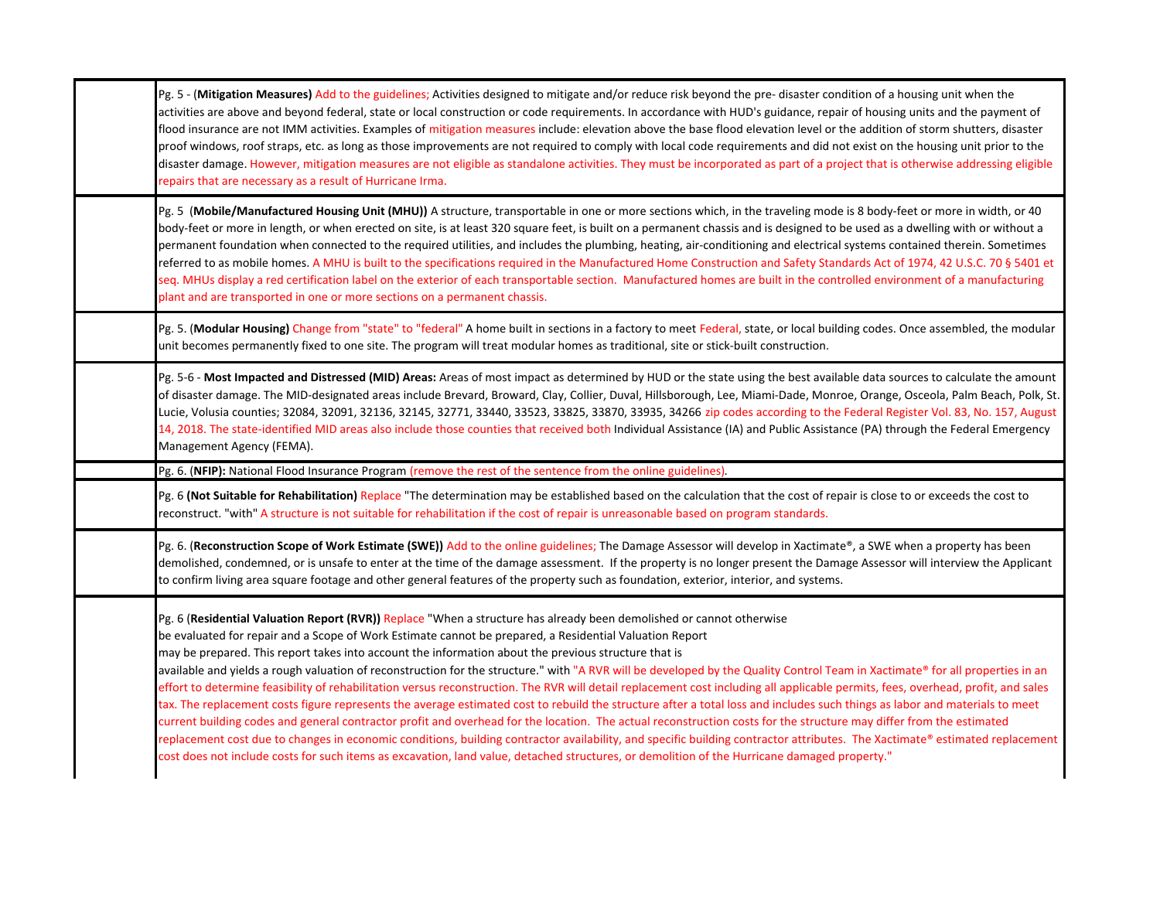| Pg. 5 - (Mitigation Measures) Add to the guidelines; Activities designed to mitigate and/or reduce risk beyond the pre- disaster condition of a housing unit when the<br>activities are above and beyond federal, state or local construction or code requirements. In accordance with HUD's guidance, repair of housing units and the payment of<br>flood insurance are not IMM activities. Examples of mitigation measures include: elevation above the base flood elevation level or the addition of storm shutters, disaster<br>proof windows, roof straps, etc. as long as those improvements are not required to comply with local code requirements and did not exist on the housing unit prior to the<br>disaster damage. However, mitigation measures are not eligible as standalone activities. They must be incorporated as part of a project that is otherwise addressing eligible<br>repairs that are necessary as a result of Hurricane Irma.                                                                                                                                                                                                                                                                                                                                                                                                                                        |
|----------------------------------------------------------------------------------------------------------------------------------------------------------------------------------------------------------------------------------------------------------------------------------------------------------------------------------------------------------------------------------------------------------------------------------------------------------------------------------------------------------------------------------------------------------------------------------------------------------------------------------------------------------------------------------------------------------------------------------------------------------------------------------------------------------------------------------------------------------------------------------------------------------------------------------------------------------------------------------------------------------------------------------------------------------------------------------------------------------------------------------------------------------------------------------------------------------------------------------------------------------------------------------------------------------------------------------------------------------------------------------------------------|
| Pg. 5 (Mobile/Manufactured Housing Unit (MHU)) A structure, transportable in one or more sections which, in the traveling mode is 8 body-feet or more in width, or 40<br>body-feet or more in length, or when erected on site, is at least 320 square feet, is built on a permanent chassis and is designed to be used as a dwelling with or without a<br>permanent foundation when connected to the required utilities, and includes the plumbing, heating, air-conditioning and electrical systems contained therein. Sometimes<br>referred to as mobile homes. A MHU is built to the specifications required in the Manufactured Home Construction and Safety Standards Act of 1974, 42 U.S.C. 70 § 5401 et<br>seq. MHUs display a red certification label on the exterior of each transportable section. Manufactured homes are built in the controlled environment of a manufacturing<br>plant and are transported in one or more sections on a permanent chassis.                                                                                                                                                                                                                                                                                                                                                                                                                            |
| Pg. 5. (Modular Housing) Change from "state" to "federal" A home built in sections in a factory to meet Federal, state, or local building codes. Once assembled, the modular<br>unit becomes permanently fixed to one site. The program will treat modular homes as traditional, site or stick-built construction.                                                                                                                                                                                                                                                                                                                                                                                                                                                                                                                                                                                                                                                                                                                                                                                                                                                                                                                                                                                                                                                                                 |
| Pg. 5-6 - Most Impacted and Distressed (MID) Areas: Areas of most impact as determined by HUD or the state using the best available data sources to calculate the amount<br>of disaster damage. The MID-designated areas include Brevard, Broward, Clay, Collier, Duval, Hillsborough, Lee, Miami-Dade, Monroe, Orange, Osceola, Palm Beach, Polk, St.<br>Lucie, Volusia counties; 32084, 32091, 32136, 32145, 32771, 33440, 33523, 33825, 33870, 33935, 34266 zip codes according to the Federal Register Vol. 83, No. 157, August<br>14, 2018. The state-identified MID areas also include those counties that received both Individual Assistance (IA) and Public Assistance (PA) through the Federal Emergency<br>Management Agency (FEMA).                                                                                                                                                                                                                                                                                                                                                                                                                                                                                                                                                                                                                                                    |
| Pg. 6. (NFIP): National Flood Insurance Program (remove the rest of the sentence from the online guidelines).                                                                                                                                                                                                                                                                                                                                                                                                                                                                                                                                                                                                                                                                                                                                                                                                                                                                                                                                                                                                                                                                                                                                                                                                                                                                                      |
| Pg. 6 (Not Suitable for Rehabilitation) Replace "The determination may be established based on the calculation that the cost of repair is close to or exceeds the cost to<br>reconstruct. "with" A structure is not suitable for rehabilitation if the cost of repair is unreasonable based on program standards.                                                                                                                                                                                                                                                                                                                                                                                                                                                                                                                                                                                                                                                                                                                                                                                                                                                                                                                                                                                                                                                                                  |
| Pg. 6. (Reconstruction Scope of Work Estimate (SWE)) Add to the online guidelines; The Damage Assessor will develop in Xactimate®, a SWE when a property has been<br>demolished, condemned, or is unsafe to enter at the time of the damage assessment. If the property is no longer present the Damage Assessor will interview the Applicant<br>to confirm living area square footage and other general features of the property such as foundation, exterior, interior, and systems.                                                                                                                                                                                                                                                                                                                                                                                                                                                                                                                                                                                                                                                                                                                                                                                                                                                                                                             |
| Pg. 6 (Residential Valuation Report (RVR)) Replace "When a structure has already been demolished or cannot otherwise<br>be evaluated for repair and a Scope of Work Estimate cannot be prepared, a Residential Valuation Report<br>may be prepared. This report takes into account the information about the previous structure that is<br>available and yields a rough valuation of reconstruction for the structure." with "A RVR will be developed by the Quality Control Team in Xactimate® for all properties in an<br>effort to determine feasibility of rehabilitation versus reconstruction. The RVR will detail replacement cost including all applicable permits, fees, overhead, profit, and sales<br>tax. The replacement costs figure represents the average estimated cost to rebuild the structure after a total loss and includes such things as labor and materials to meet<br>current building codes and general contractor profit and overhead for the location. The actual reconstruction costs for the structure may differ from the estimated<br>replacement cost due to changes in economic conditions, building contractor availability, and specific building contractor attributes. The Xactimate® estimated replacement<br>cost does not include costs for such items as excavation, land value, detached structures, or demolition of the Hurricane damaged property." |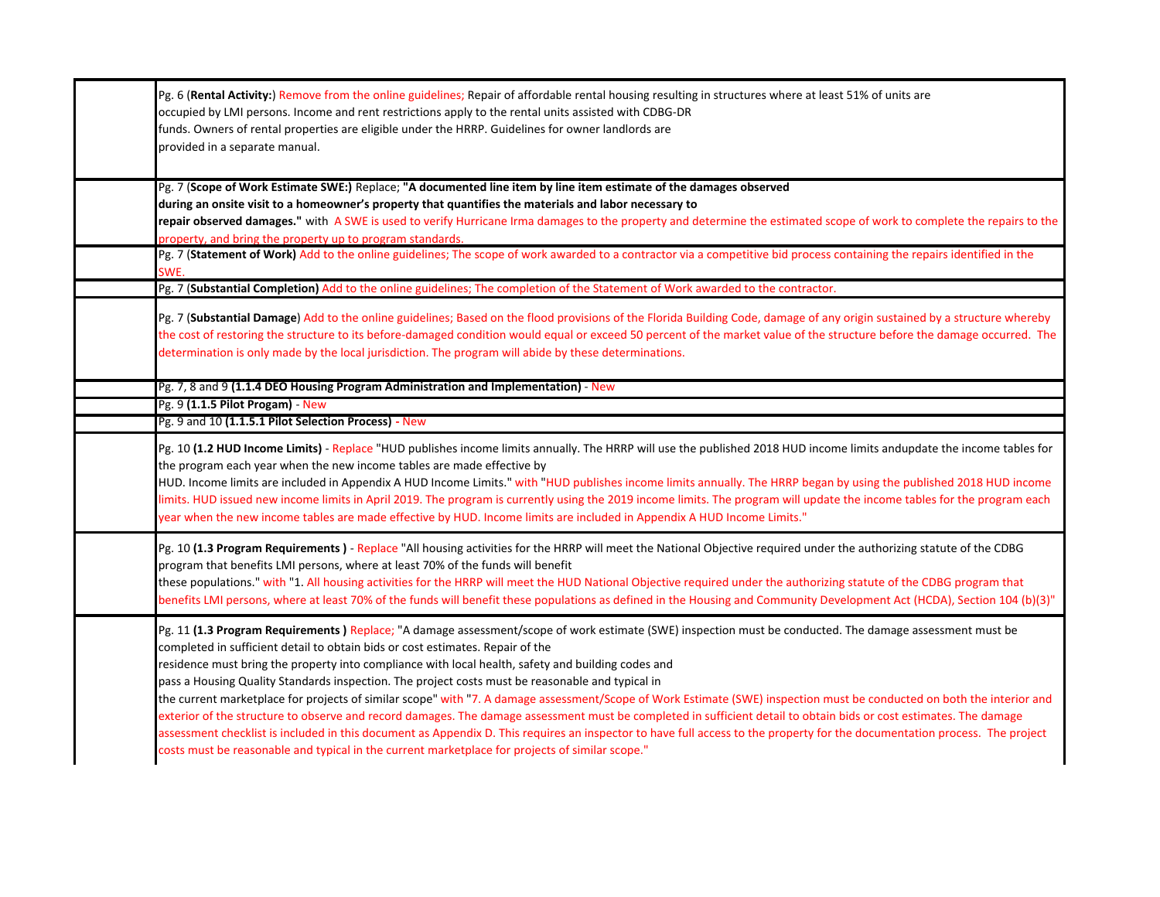| Pg. 6 (Rental Activity:) Remove from the online guidelines; Repair of affordable rental housing resulting in structures where at least 51% of units are<br>occupied by LMI persons. Income and rent restrictions apply to the rental units assisted with CDBG-DR<br>funds. Owners of rental properties are eligible under the HRRP. Guidelines for owner landlords are<br>provided in a separate manual.                                                                                                                                                                                                                                                                                                                                                                                                                                                                                                                                                                                                                                                                               |
|----------------------------------------------------------------------------------------------------------------------------------------------------------------------------------------------------------------------------------------------------------------------------------------------------------------------------------------------------------------------------------------------------------------------------------------------------------------------------------------------------------------------------------------------------------------------------------------------------------------------------------------------------------------------------------------------------------------------------------------------------------------------------------------------------------------------------------------------------------------------------------------------------------------------------------------------------------------------------------------------------------------------------------------------------------------------------------------|
| Pg. 7 (Scope of Work Estimate SWE:) Replace; "A documented line item by line item estimate of the damages observed<br>during an onsite visit to a homeowner's property that quantifies the materials and labor necessary to<br>repair observed damages." with ASWE is used to verify Hurricane Irma damages to the property and determine the estimated scope of work to complete the repairs to the<br>property, and bring the property up to program standards.<br>Pg. 7 (Statement of Work) Add to the online guidelines; The scope of work awarded to a contractor via a competitive bid process containing the repairs identified in the<br>SWE.<br>Pg. 7 (Substantial Completion) Add to the online guidelines; The completion of the Statement of Work awarded to the contractor.                                                                                                                                                                                                                                                                                               |
| Pg. 7 (Substantial Damage) Add to the online guidelines; Based on the flood provisions of the Florida Building Code, damage of any origin sustained by a structure whereby<br>the cost of restoring the structure to its before-damaged condition would equal or exceed 50 percent of the market value of the structure before the damage occurred. The<br>determination is only made by the local jurisdiction. The program will abide by these determinations.                                                                                                                                                                                                                                                                                                                                                                                                                                                                                                                                                                                                                       |
| Pg. 7, 8 and 9 (1.1.4 DEO Housing Program Administration and Implementation) - New                                                                                                                                                                                                                                                                                                                                                                                                                                                                                                                                                                                                                                                                                                                                                                                                                                                                                                                                                                                                     |
| Pg. 9 (1.1.5 Pilot Progam) - New                                                                                                                                                                                                                                                                                                                                                                                                                                                                                                                                                                                                                                                                                                                                                                                                                                                                                                                                                                                                                                                       |
| Pg. 9 and 10 (1.1.5.1 Pilot Selection Process) - New                                                                                                                                                                                                                                                                                                                                                                                                                                                                                                                                                                                                                                                                                                                                                                                                                                                                                                                                                                                                                                   |
| Pg. 10 (1.2 HUD Income Limits) - Replace "HUD publishes income limits annually. The HRRP will use the published 2018 HUD income limits andupdate the income tables for<br>the program each year when the new income tables are made effective by<br>HUD. Income limits are included in Appendix A HUD Income Limits." with "HUD publishes income limits annually. The HRRP began by using the published 2018 HUD income<br>limits. HUD issued new income limits in April 2019. The program is currently using the 2019 income limits. The program will update the income tables for the program each<br>year when the new income tables are made effective by HUD. Income limits are included in Appendix A HUD Income Limits."                                                                                                                                                                                                                                                                                                                                                        |
| Pg. 10 (1.3 Program Requirements) - Replace "All housing activities for the HRRP will meet the National Objective required under the authorizing statute of the CDBG<br>program that benefits LMI persons, where at least 70% of the funds will benefit<br>these populations." with "1. All housing activities for the HRRP will meet the HUD National Objective required under the authorizing statute of the CDBG program that<br>benefits LMI persons, where at least 70% of the funds will benefit these populations as defined in the Housing and Community Development Act (HCDA), Section 104 (b)(3)"                                                                                                                                                                                                                                                                                                                                                                                                                                                                           |
| Pg. 11 (1.3 Program Requirements) Replace; "A damage assessment/scope of work estimate (SWE) inspection must be conducted. The damage assessment must be<br>completed in sufficient detail to obtain bids or cost estimates. Repair of the<br>residence must bring the property into compliance with local health, safety and building codes and<br>pass a Housing Quality Standards inspection. The project costs must be reasonable and typical in<br>the current marketplace for projects of similar scope" with "7. A damage assessment/Scope of Work Estimate (SWE) inspection must be conducted on both the interior and<br>exterior of the structure to observe and record damages. The damage assessment must be completed in sufficient detail to obtain bids or cost estimates. The damage<br>assessment checklist is included in this document as Appendix D. This requires an inspector to have full access to the property for the documentation process. The project<br>"costs must be reasonable and typical in the current marketplace for projects of similar scope." |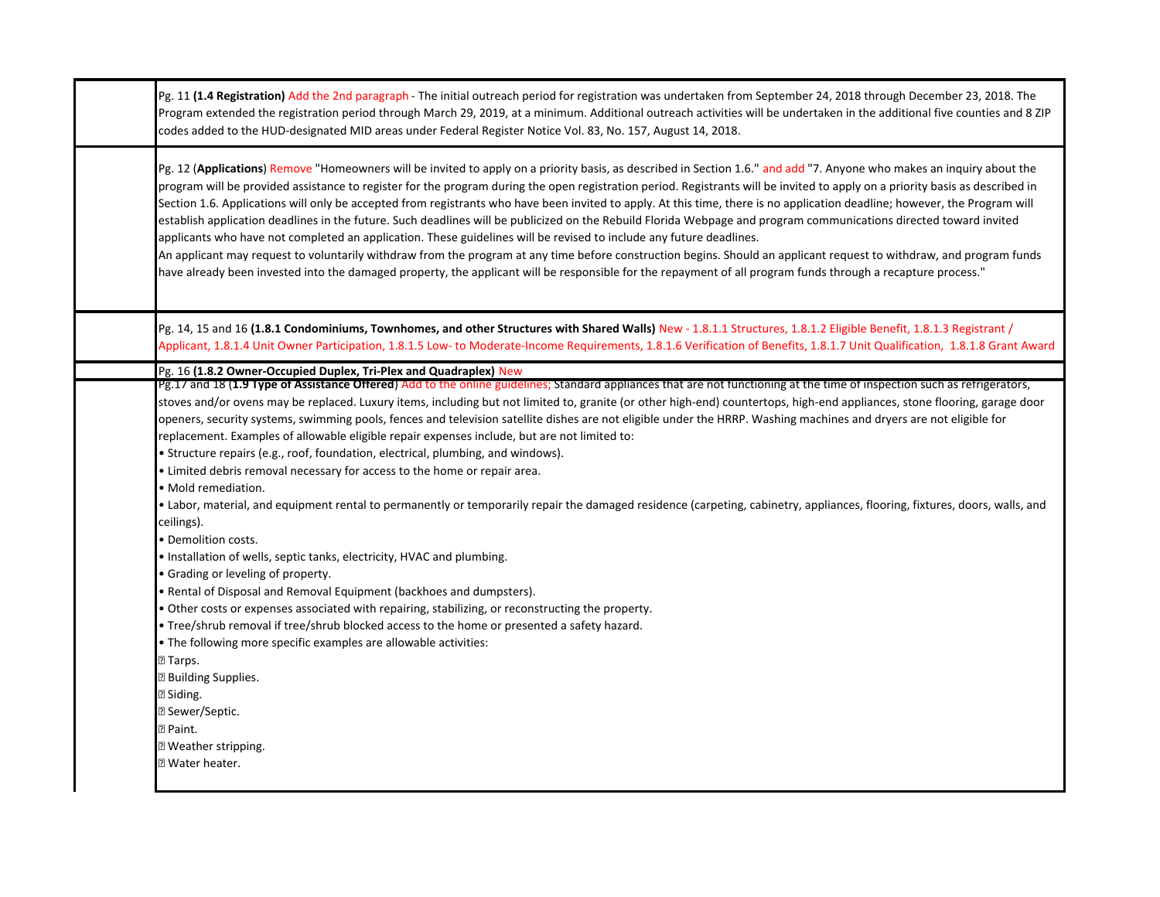| Pg. 11 (1.4 Registration) Add the 2nd paragraph - The initial outreach period for registration was undertaken from September 24, 2018 through December 23, 2018. The<br>Program extended the registration period through March 29, 2019, at a minimum. Additional outreach activities will be undertaken in the additional five counties and 8 ZIP<br>codes added to the HUD-designated MID areas under Federal Register Notice Vol. 83, No. 157, August 14, 2018.                                                                                                                                                                                                                                                                                                                                                                                                                                                                                                                                                                                                                                                                                                                                                                                                                                                                                                                                                                                                                                                                                                                                                                                                                                                                                        |
|-----------------------------------------------------------------------------------------------------------------------------------------------------------------------------------------------------------------------------------------------------------------------------------------------------------------------------------------------------------------------------------------------------------------------------------------------------------------------------------------------------------------------------------------------------------------------------------------------------------------------------------------------------------------------------------------------------------------------------------------------------------------------------------------------------------------------------------------------------------------------------------------------------------------------------------------------------------------------------------------------------------------------------------------------------------------------------------------------------------------------------------------------------------------------------------------------------------------------------------------------------------------------------------------------------------------------------------------------------------------------------------------------------------------------------------------------------------------------------------------------------------------------------------------------------------------------------------------------------------------------------------------------------------------------------------------------------------------------------------------------------------|
| Pg. 12 (Applications) Remove "Homeowners will be invited to apply on a priority basis, as described in Section 1.6." and add "7. Anyone who makes an inquiry about the<br>program will be provided assistance to register for the program during the open registration period. Registrants will be invited to apply on a priority basis as described in<br>Section 1.6. Applications will only be accepted from registrants who have been invited to apply. At this time, there is no application deadline; however, the Program will<br>establish application deadlines in the future. Such deadlines will be publicized on the Rebuild Florida Webpage and program communications directed toward invited<br>applicants who have not completed an application. These guidelines will be revised to include any future deadlines.<br>An applicant may request to voluntarily withdraw from the program at any time before construction begins. Should an applicant request to withdraw, and program funds<br>have already been invested into the damaged property, the applicant will be responsible for the repayment of all program funds through a recapture process."                                                                                                                                                                                                                                                                                                                                                                                                                                                                                                                                                                                |
| Pg. 14, 15 and 16 (1.8.1 Condominiums, Townhomes, and other Structures with Shared Walls) New - 1.8.1.1 Structures, 1.8.1.2 Eligible Benefit, 1.8.1.3 Registrant /<br>Applicant, 1.8.1.4 Unit Owner Participation, 1.8.1.5 Low- to Moderate-Income Requirements, 1.8.1.6 Verification of Benefits, 1.8.1.7 Unit Qualification, 1.8.1.8 Grant Award                                                                                                                                                                                                                                                                                                                                                                                                                                                                                                                                                                                                                                                                                                                                                                                                                                                                                                                                                                                                                                                                                                                                                                                                                                                                                                                                                                                                        |
| Pg. 16 (1.8.2 Owner-Occupied Duplex, Tri-Plex and Quadraplex) New<br>Pg.17 and 18 (1.9 Type of Assistance Offered) Add to the online guidelines; Standard appliances that are not functioning at the time of inspection such as refrigerators,<br>stoves and/or ovens may be replaced. Luxury items, including but not limited to, granite (or other high-end) countertops, high-end appliances, stone flooring, garage door<br>openers, security systems, swimming pools, fences and television satellite dishes are not eligible under the HRRP. Washing machines and dryers are not eligible for<br>replacement. Examples of allowable eligible repair expenses include, but are not limited to:<br>· Structure repairs (e.g., roof, foundation, electrical, plumbing, and windows).<br>• Limited debris removal necessary for access to the home or repair area.<br>· Mold remediation.<br>• Labor, material, and equipment rental to permanently or temporarily repair the damaged residence (carpeting, cabinetry, appliances, flooring, fixtures, doors, walls, and<br>ceilings).<br>• Demolition costs.<br>• Installation of wells, septic tanks, electricity, HVAC and plumbing.<br>• Grading or leveling of property.<br>. Rental of Disposal and Removal Equipment (backhoes and dumpsters).<br>. Other costs or expenses associated with repairing, stabilizing, or reconstructing the property.<br>. Tree/shrub removal if tree/shrub blocked access to the home or presented a safety hazard.<br>. The following more specific examples are allowable activities:<br>$2$ Tarps.<br><b>B</b> Building Supplies.<br><b><b>2</b> Siding.</b><br><b>2 Sewer/Septic.</b><br><b>Paint.</b><br><b>Neather stripping.</b><br><b>7 Water heater.</b> |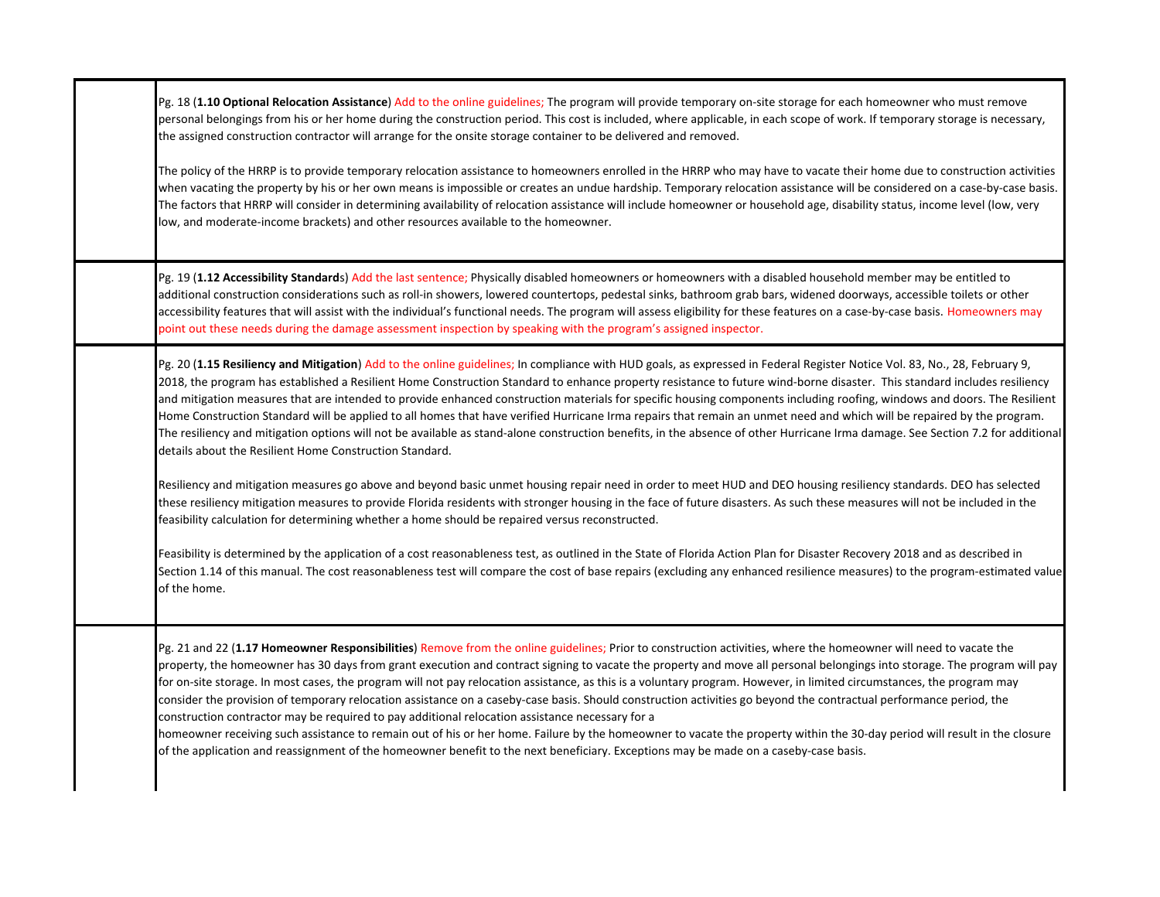Pg. 18 (**1.10 Optional Relocation Assistance**) Add to the online guidelines; The program will provide temporary on‐site storage for each homeowner who must remove personal belongings from his or her home during the construction period. This cost is included, where applicable, in each scope of work. If temporary storage is necessary, the assigned construction contractor will arrange for the onsite storage container to be delivered and removed.

The policy of the HRRP is to provide temporary relocation assistance to homeowners enrolled in the HRRP who may have to vacate their home due to construction activities when vacating the property by his or her own means is impossible or creates an undue hardship. Temporary relocation assistance will be considered on a case-by-case basis. The factors that HRRP will consider in determining availability of relocation assistance will include homeowner or household age, disability status, income level (low, very low, and moderate‐income brackets) and other resources available to the homeowner.

Pg. 19 (**1.12 Accessibility Standard**s) Add the last sentence; Physically disabled homeowners or homeowners with a disabled household member may be entitled to additional construction considerations such as roll‐in showers, lowered countertops, pedestal sinks, bathroom grab bars, widened doorways, accessible toilets or other accessibility features that will assist with the individual's functional needs. The program will assess eligibility for these features on a case-by-case basis. Homeowners may point out these needs during the damage assessment inspection by speaking with the program's assigned inspector.

Pg. 20 (**1.15 Resiliency and Mitigation**) Add to the online guidelines; In compliance with HUD goals, as expressed in Federal Register Notice Vol. 83, No., 28, February 9, 2018, the program has established a Resilient Home Construction Standard to enhance property resistance to future wind-borne disaster. This standard includes resiliency and mitigation measures that are intended to provide enhanced construction materials for specific housing components including roofing, windows and doors. The Resilient Home Construction Standard will be applied to all homes that have verified Hurricane Irma repairs that remain an unmet need and which will be repaired by the program. The resiliency and mitigation options will not be available as stand‐alone construction benefits, in the absence of other Hurricane Irma damage. See Section 7.2 for additional details about the Resilient Home Construction Standard.

Resiliency and mitigation measures go above and beyond basic unmet housing repair need in order to meet HUD and DEO housing resiliency standards. DEO has selected these resiliency mitigation measures to provide Florida residents with stronger housing in the face of future disasters. As such these measures will not be included in the feasibility calculation for determining whether a home should be repaired versus reconstructed.

Feasibility is determined by the application of a cost reasonableness test, as outlined in the State of Florida Action Plan for Disaster Recovery 2018 and as described in Section 1.14 of this manual. The cost reasonableness test will compare the cost of base repairs (excluding any enhanced resilience measures) to the program-estimated value of the home.

Pg. 21 and 22 (**1.17 Homeowner Responsibilities**) Remove from the online guidelines; Prior to construction activities, where the homeowner will need to vacate the property, the homeowner has 30 days from grant execution and contract signing to vacate the property and move all personal belongings into storage. The program will pay for on-site storage. In most cases, the program will not pay relocation assistance, as this is a voluntary program. However, in limited circumstances, the program may consider the provision of temporary relocation assistance on a caseby-case basis. Should construction activities go beyond the contractual performance period, the construction contractor may be required to pay additional relocation assistance necessary for a

homeowner receiving such assistance to remain out of his or her home. Failure by the homeowner to vacate the property within the 30-day period will result in the closure of the application and reassignment of the homeowner benefit to the next beneficiary. Exceptions may be made on a caseby‐case basis.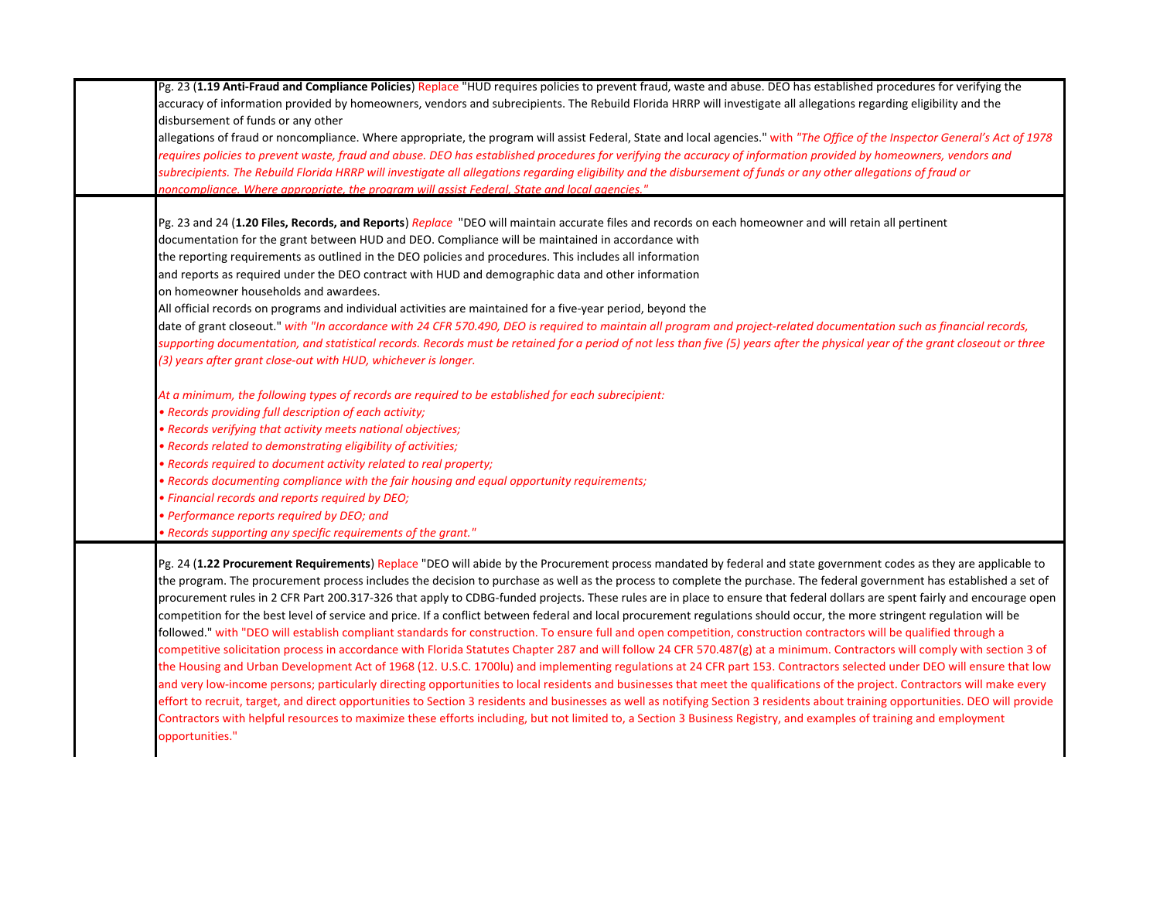Pg. 23 (**1.19 Anti‐Fraud and Compliance Policies**) Replace "HUD requires policies to prevent fraud, waste and abuse. DEO has established procedures for verifying the accuracy of information provided by homeowners, vendors and subrecipients. The Rebuild Florida HRRP will investigate all allegations regarding eligibility and the disbursement of funds or any other allegations of fraud or noncompliance. Where appropriate, the program will assist Federal, State and local agencies." with *"The Office of the Inspector General's Act of 1978 requires policies to prevent waste, fraud and abuse. DEO has established procedures for verifying the accuracy of information provided by homeowners, vendors and subrecipients. The Rebuild Florida HRRP will investigate all allegations regarding eligibility and the disbursement of funds or any other allegations of fraud or noncompliance. Where appropriate, the program will assist Federal, State and local agencies."* Pg. 23 and 24 (**1.20 Files, Records, and Reports**) *Replace* "DEO will maintain accurate files and records on each homeowner and will retain all pertinent documentation for the grant between HUD and DEO. Compliance will be maintained in accordance with the reporting requirements as outlined in the DEO policies and procedures. This includes all information and reports as required under the DEO contract with HUD and demographic data and other information on homeowner households and awardees.All official records on programs and individual activities are maintained for a five‐year period, beyond the date of grant closeout." with "In accordance with 24 CFR 570.490, DEO is required to maintain all program and project-related documentation such as financial records, *supporting documentation, and statistical records. Records must be retained for a period of not less than five (5) years after the physical year of the grant closeout or three (3) years after grant close‐out with HUD, whichever is longer. At a minimum, the following types of records are required to be established for each subrecipient: • Records providing full description of each activity; • Records verifying that activity meets national objectives; • Records related to demonstrating eligibility of activities; • Records required to document activity related to real property; • Records documenting compliance with the fair housing and equal opportunity requirements; • Financial records and reports required by DEO; • Performance reports required by DEO; and • Records supporting any specific requirements of the grant."* Pg. 24 (**1.22 Procurement Requirements**) Replace "DEO will abide by the Procurement process mandated by federal and state government codes as they are applicable to the program. The procurement process includes the decision to purchase as well as the process to complete the purchase. The federal government has established a set of procurement rules in 2 CFR Part 200.317‐326 that apply to CDBG‐funded projects. These rules are in place to ensure that federal dollars are spent fairly and encourage open competition for the best level of service and price. If a conflict between federal and local procurement regulations should occur, the more stringent regulation will be followed." with "DEO will establish compliant standards for construction. To ensure full and open competition, construction contractors will be qualified through a competitive solicitation process in accordance with Florida Statutes Chapter 287 and will follow 24 CFR 570.487(g) at a minimum. Contractors will comply with section 3 of

the Housing and Urban Development Act of 1968 (12. U.S.C. 1700lu) and implementing regulations at 24 CFR part 153. Contractors selected under DEO will ensure that low and very low-income persons; particularly directing opportunities to local residents and businesses that meet the qualifications of the project. Contractors will make every effort to recruit, target, and direct opportunities to Section 3 residents and businesses as well as notifying Section 3 residents about training opportunities. DEO will provide Contractors with helpful resources to maximize these efforts including, but not limited to, a Section 3 Business Registry, and examples of training and employment opportunities."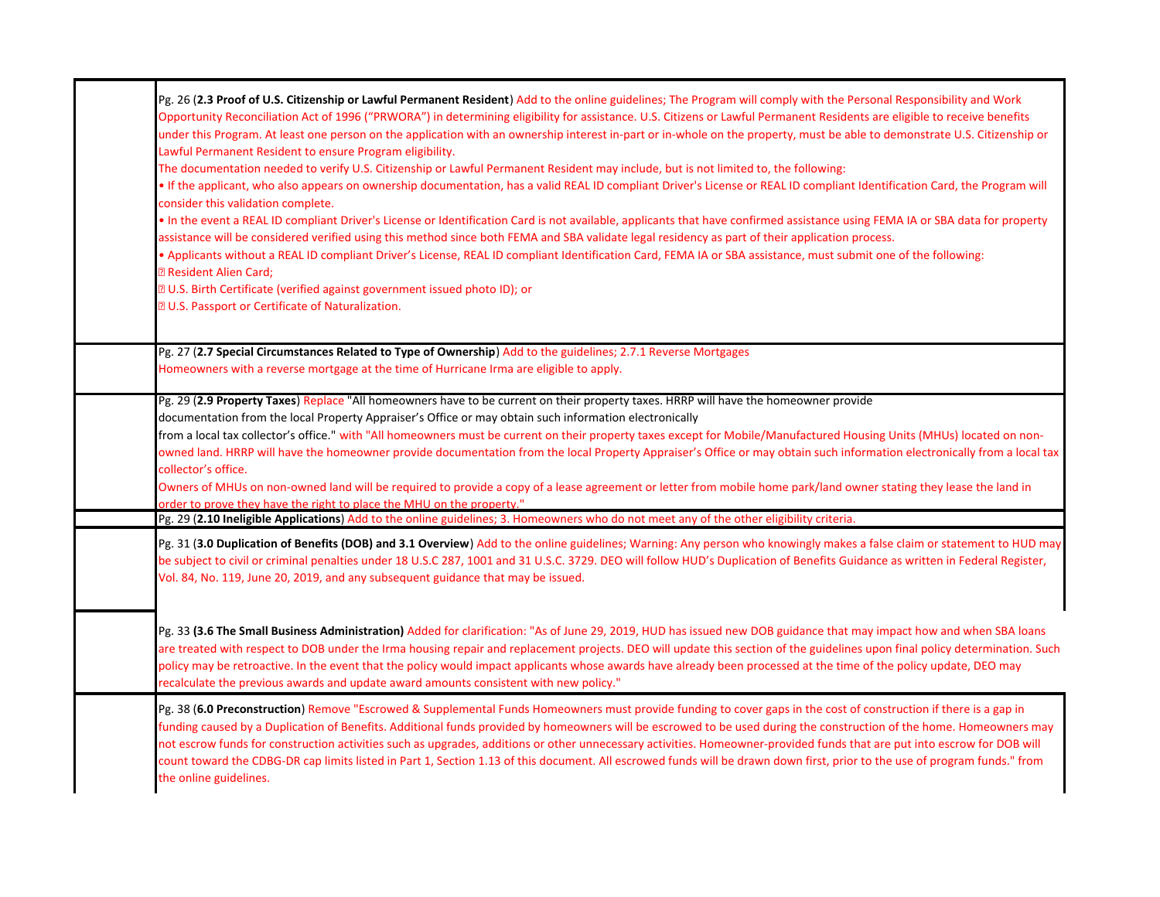| Pg. 26 (2.3 Proof of U.S. Citizenship or Lawful Permanent Resident) Add to the online guidelines; The Program will comply with the Personal Responsibility and Work<br>Opportunity Reconciliation Act of 1996 ("PRWORA") in determining eligibility for assistance. U.S. Citizens or Lawful Permanent Residents are eligible to receive benefits<br>under this Program. At least one person on the application with an ownership interest in-part or in-whole on the property, must be able to demonstrate U.S. Citizenship or<br>Lawful Permanent Resident to ensure Program eligibility.                                                                                                                                                                                                                                                                                 |
|----------------------------------------------------------------------------------------------------------------------------------------------------------------------------------------------------------------------------------------------------------------------------------------------------------------------------------------------------------------------------------------------------------------------------------------------------------------------------------------------------------------------------------------------------------------------------------------------------------------------------------------------------------------------------------------------------------------------------------------------------------------------------------------------------------------------------------------------------------------------------|
| The documentation needed to verify U.S. Citizenship or Lawful Permanent Resident may include, but is not limited to, the following:<br>If the applicant, who also appears on ownership documentation, has a valid REAL ID compliant Driver's License or REAL ID compliant Identification Card, the Program will<br>consider this validation complete.                                                                                                                                                                                                                                                                                                                                                                                                                                                                                                                      |
| . In the event a REAL ID compliant Driver's License or Identification Card is not available, applicants that have confirmed assistance using FEMA IA or SBA data for property<br>assistance will be considered verified using this method since both FEMA and SBA validate legal residency as part of their application process.                                                                                                                                                                                                                                                                                                                                                                                                                                                                                                                                           |
| • Applicants without a REAL ID compliant Driver's License, REAL ID compliant Identification Card, FEMA IA or SBA assistance, must submit one of the following:<br><b>Z Resident Alien Card;</b><br><b>Z U.S. Birth Certificate (verified against government issued photo ID); or</b>                                                                                                                                                                                                                                                                                                                                                                                                                                                                                                                                                                                       |
| <b>DU.S. Passport or Certificate of Naturalization.</b>                                                                                                                                                                                                                                                                                                                                                                                                                                                                                                                                                                                                                                                                                                                                                                                                                    |
| Pg. 27 (2.7 Special Circumstances Related to Type of Ownership) Add to the guidelines; 2.7.1 Reverse Mortgages<br>Homeowners with a reverse mortgage at the time of Hurricane Irma are eligible to apply.                                                                                                                                                                                                                                                                                                                                                                                                                                                                                                                                                                                                                                                                  |
| Pg. 29 (2.9 Property Taxes) Replace "All homeowners have to be current on their property taxes. HRRP will have the homeowner provide<br>documentation from the local Property Appraiser's Office or may obtain such information electronically<br>from a local tax collector's office." with "All homeowners must be current on their property taxes except for Mobile/Manufactured Housing Units (MHUs) located on non-<br>owned land. HRRP will have the homeowner provide documentation from the local Property Appraiser's Office or may obtain such information electronically from a local tax<br>collector's office.<br>Owners of MHUs on non-owned land will be required to provide a copy of a lease agreement or letter from mobile home park/land owner stating they lease the land in<br>order to prove they have the right to place the MHU on the property." |
| Pg. 29 (2.10 Ineligible Applications) Add to the online guidelines; 3. Homeowners who do not meet any of the other eligibility criteria.                                                                                                                                                                                                                                                                                                                                                                                                                                                                                                                                                                                                                                                                                                                                   |
| Pg. 31 (3.0 Duplication of Benefits (DOB) and 3.1 Overview) Add to the online guidelines; Warning: Any person who knowingly makes a false claim or statement to HUD may<br>be subject to civil or criminal penalties under 18 U.S.C 287, 1001 and 31 U.S.C. 3729. DEO will follow HUD's Duplication of Benefits Guidance as written in Federal Register,<br>Vol. 84, No. 119, June 20, 2019, and any subsequent guidance that may be issued.                                                                                                                                                                                                                                                                                                                                                                                                                               |
| Pg. 33 (3.6 The Small Business Administration) Added for clarification: "As of June 29, 2019, HUD has issued new DOB guidance that may impact how and when SBA loans<br>are treated with respect to DOB under the Irma housing repair and replacement projects. DEO will update this section of the guidelines upon final policy determination. Such<br>policy may be retroactive. In the event that the policy would impact applicants whose awards have already been processed at the time of the policy update, DEO may<br>recalculate the previous awards and update award amounts consistent with new policy."                                                                                                                                                                                                                                                        |
| Pg. 38 (6.0 Preconstruction) Remove "Escrowed & Supplemental Funds Homeowners must provide funding to cover gaps in the cost of construction if there is a gap in<br>funding caused by a Duplication of Benefits. Additional funds provided by homeowners will be escrowed to be used during the construction of the home. Homeowners may<br>not escrow funds for construction activities such as upgrades, additions or other unnecessary activities. Homeowner-provided funds that are put into escrow for DOB will<br>count toward the CDBG-DR cap limits listed in Part 1, Section 1.13 of this document. All escrowed funds will be drawn down first, prior to the use of program funds." from<br>the online guidelines.                                                                                                                                              |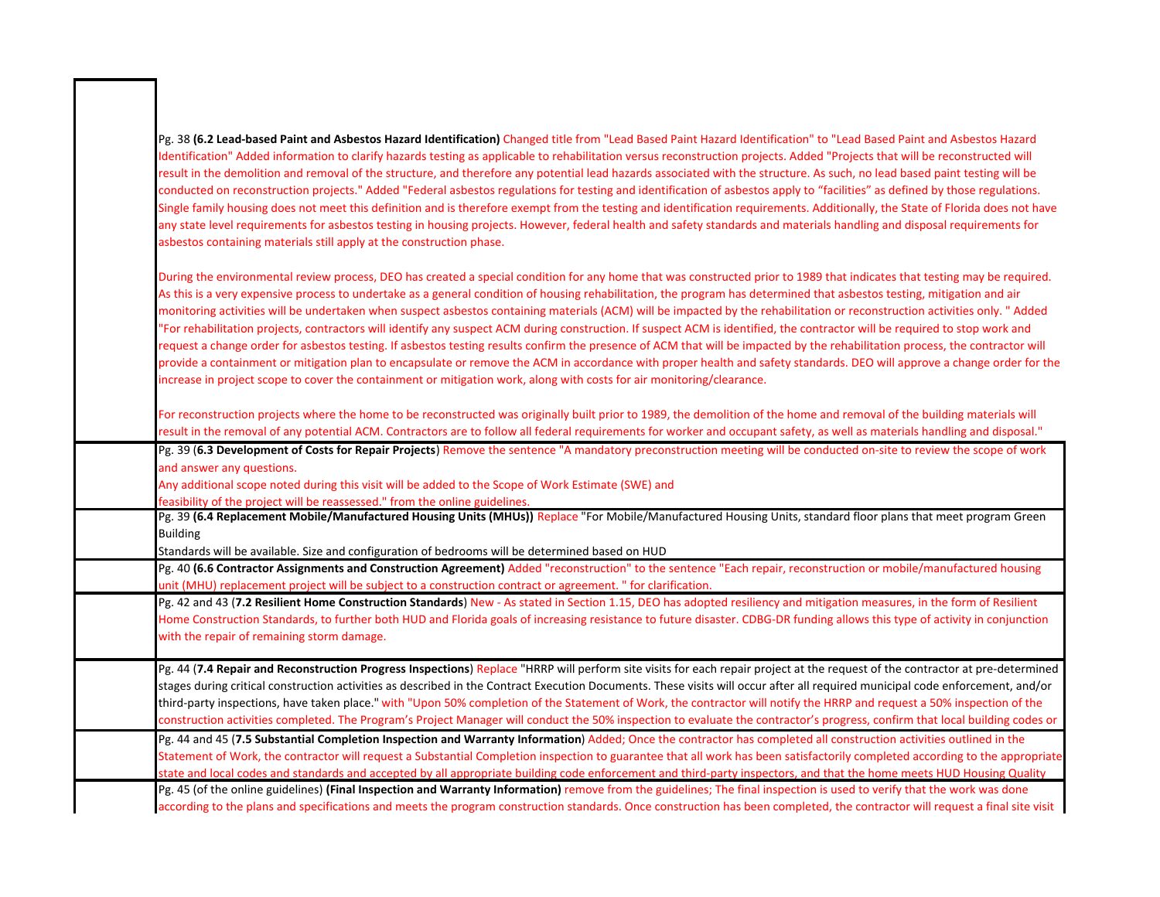| Pg. 38 (6.2 Lead-based Paint and Asbestos Hazard Identification) Changed title from "Lead Based Paint Hazard Identification" to "Lead Based Paint and Asbestos Hazard<br>Identification" Added information to clarify hazards testing as applicable to rehabilitation versus reconstruction projects. Added "Projects that will be reconstructed will<br>result in the demolition and removal of the structure, and therefore any potential lead hazards associated with the structure. As such, no lead based paint testing will be<br>conducted on reconstruction projects." Added "Federal asbestos regulations for testing and identification of asbestos apply to "facilities" as defined by those regulations.<br>Single family housing does not meet this definition and is therefore exempt from the testing and identification requirements. Additionally, the State of Florida does not have<br>any state level requirements for asbestos testing in housing projects. However, federal health and safety standards and materials handling and disposal requirements for<br>asbestos containing materials still apply at the construction phase.                                              |
|---------------------------------------------------------------------------------------------------------------------------------------------------------------------------------------------------------------------------------------------------------------------------------------------------------------------------------------------------------------------------------------------------------------------------------------------------------------------------------------------------------------------------------------------------------------------------------------------------------------------------------------------------------------------------------------------------------------------------------------------------------------------------------------------------------------------------------------------------------------------------------------------------------------------------------------------------------------------------------------------------------------------------------------------------------------------------------------------------------------------------------------------------------------------------------------------------------|
| During the environmental review process, DEO has created a special condition for any home that was constructed prior to 1989 that indicates that testing may be required.<br>As this is a very expensive process to undertake as a general condition of housing rehabilitation, the program has determined that asbestos testing, mitigation and air<br>monitoring activities will be undertaken when suspect asbestos containing materials (ACM) will be impacted by the rehabilitation or reconstruction activities only. "Added<br>"For rehabilitation projects, contractors will identify any suspect ACM during construction. If suspect ACM is identified, the contractor will be required to stop work and<br>request a change order for asbestos testing. If asbestos testing results confirm the presence of ACM that will be impacted by the rehabilitation process, the contractor will<br>provide a containment or mitigation plan to encapsulate or remove the ACM in accordance with proper health and safety standards. DEO will approve a change order for the<br>increase in project scope to cover the containment or mitigation work, along with costs for air monitoring/clearance. |
| For reconstruction projects where the home to be reconstructed was originally built prior to 1989, the demolition of the home and removal of the building materials will<br>result in the removal of any potential ACM. Contractors are to follow all federal requirements for worker and occupant safety, as well as materials handling and disposal."                                                                                                                                                                                                                                                                                                                                                                                                                                                                                                                                                                                                                                                                                                                                                                                                                                                 |
| Pg. 39 (6.3 Development of Costs for Repair Projects) Remove the sentence "A mandatory preconstruction meeting will be conducted on-site to review the scope of work<br>and answer any questions.<br>Any additional scope noted during this visit will be added to the Scope of Work Estimate (SWE) and<br>feasibility of the project will be reassessed." from the online guidelines.                                                                                                                                                                                                                                                                                                                                                                                                                                                                                                                                                                                                                                                                                                                                                                                                                  |
| Pg. 39 (6.4 Replacement Mobile/Manufactured Housing Units (MHUs)) Replace "For Mobile/Manufactured Housing Units, standard floor plans that meet program Green<br><b>Building</b><br>Standards will be available. Size and configuration of bedrooms will be determined based on HUD                                                                                                                                                                                                                                                                                                                                                                                                                                                                                                                                                                                                                                                                                                                                                                                                                                                                                                                    |
| Pg. 40 (6.6 Contractor Assignments and Construction Agreement) Added "reconstruction" to the sentence "Each repair, reconstruction or mobile/manufactured housing<br>unit (MHU) replacement project will be subject to a construction contract or agreement. " for clarification.                                                                                                                                                                                                                                                                                                                                                                                                                                                                                                                                                                                                                                                                                                                                                                                                                                                                                                                       |
| Pg. 42 and 43 (7.2 Resilient Home Construction Standards) New - As stated in Section 1.15, DEO has adopted resiliency and mitigation measures, in the form of Resilient<br>Home Construction Standards, to further both HUD and Florida goals of increasing resistance to future disaster. CDBG-DR funding allows this type of activity in conjunction<br>with the repair of remaining storm damage.                                                                                                                                                                                                                                                                                                                                                                                                                                                                                                                                                                                                                                                                                                                                                                                                    |
| Pg. 44 (7.4 Repair and Reconstruction Progress Inspections) Replace "HRRP will perform site visits for each repair project at the request of the contractor at pre-determined<br>stages during critical construction activities as described in the Contract Execution Documents. These visits will occur after all required municipal code enforcement, and/or<br>third-party inspections, have taken place." with "Upon 50% completion of the Statement of Work, the contractor will notify the HRRP and request a 50% inspection of the<br>construction activities completed. The Program's Project Manager will conduct the 50% inspection to evaluate the contractor's progress, confirm that local building codes or                                                                                                                                                                                                                                                                                                                                                                                                                                                                              |
| Pg. 44 and 45 (7.5 Substantial Completion Inspection and Warranty Information) Added; Once the contractor has completed all construction activities outlined in the<br>Statement of Work, the contractor will request a Substantial Completion inspection to guarantee that all work has been satisfactorily completed according to the appropriate<br>state and local codes and standards and accepted by all appropriate building code enforcement and third-party inspectors, and that the home meets HUD Housing Quality                                                                                                                                                                                                                                                                                                                                                                                                                                                                                                                                                                                                                                                                            |
| Pg. 45 (of the online guidelines) (Final Inspection and Warranty Information) remove from the guidelines; The final inspection is used to verify that the work was done<br>according to the plans and specifications and meets the program construction standards. Once construction has been completed, the contractor will request a final site visit                                                                                                                                                                                                                                                                                                                                                                                                                                                                                                                                                                                                                                                                                                                                                                                                                                                 |